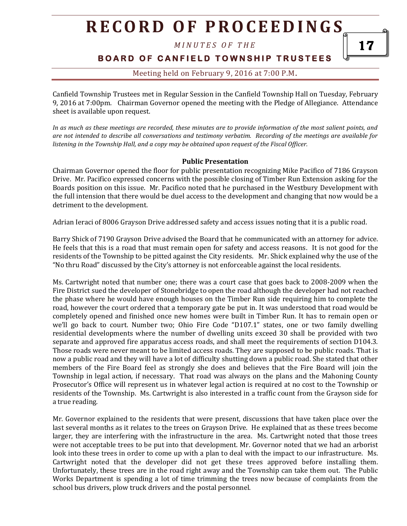*M I N U T E S O F T H E* 

### **BOARD OF CANFIELD TOWNSHIP TRUSTEES**

### Meeting held on February 9, 2016 at 7:00 P.M**.**

Canfield Township Trustees met in Regular Session in the Canfield Township Hall on Tuesday, February 9, 2016 at 7:00pm. Chairman Governor opened the meeting with the Pledge of Allegiance. Attendance sheet is available upon request.

*In as much as these meetings are recorded, these minutes are to provide information of the most salient points, and are not intended to describe all conversations and testimony verbatim. Recording of the meetings are available for listening in the Township Hall, and a copy may be obtained upon request of the Fiscal Officer.* 

#### **Public Presentation**

Chairman Governor opened the floor for public presentation recognizing Mike Pacifico of 7186 Grayson Drive. Mr. Pacifico expressed concerns with the possible closing of Timber Run Extension asking for the Boards position on this issue. Mr. Pacifico noted that he purchased in the Westbury Development with the full intension that there would be duel access to the development and changing that now would be a detriment to the development.

Adrian Ieraci of 8006 Grayson Drive addressed safety and access issues noting that it is a public road.

Barry Shick of 7190 Grayson Drive advised the Board that he communicated with an attorney for advice. He feels that this is a road that must remain open for safety and access reasons. It is not good for the residents of the Township to be pitted against the City residents. Mr. Shick explained why the use of the "No thru Road" discussed by the City's attorney is not enforceable against the local residents.

Ms. Cartwright noted that number one; there was a court case that goes back to 2008-2009 when the Fire District sued the developer of Stonebridge to open the road although the developer had not reached the phase where he would have enough houses on the Timber Run side requiring him to complete the road, however the court ordered that a temporary gate be put in. It was understood that road would be completely opened and finished once new homes were built in Timber Run. It has to remain open or we'll go back to court. Number two; Ohio Fire Code "D107.1" states, one or two family dwelling residential developments where the number of dwelling units exceed 30 shall be provided with two separate and approved fire apparatus access roads, and shall meet the requirements of section D104.3. Those roads were never meant to be limited access roads. They are supposed to be public roads. That is now a public road and they will have a lot of difficulty shutting down a public road. She stated that other members of the Fire Board feel as strongly she does and believes that the Fire Board will join the Township in legal action, if necessary. That road was always on the plans and the Mahoning County Prosecutor's Office will represent us in whatever legal action is required at no cost to the Township or residents of the Township. Ms. Cartwright is also interested in a traffic count from the Grayson side for a true reading.

Mr. Governor explained to the residents that were present, discussions that have taken place over the last several months as it relates to the trees on Grayson Drive. He explained that as these trees become larger, they are interfering with the infrastructure in the area. Ms. Cartwright noted that those trees were not acceptable trees to be put into that development. Mr. Governor noted that we had an arborist look into these trees in order to come up with a plan to deal with the impact to our infrastructure. Ms. Cartwright noted that the developer did not get these trees approved before installing them. Unfortunately, these trees are in the road right away and the Township can take them out. The Public Works Department is spending a lot of time trimming the trees now because of complaints from the school bus drivers, plow truck drivers and the postal personnel.

17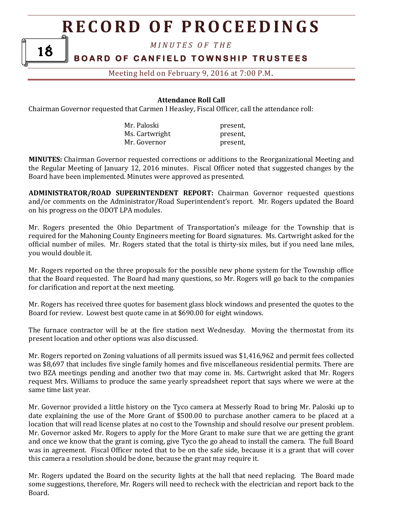*M I N U T E S O F T H E* 

### **BOARD OF CANFIELD TOWNSHIP TRUSTEES**

### Meeting held on February 9, 2016 at 7:00 P.M**.**

#### **Attendance Roll Call**

Chairman Governor requested that Carmen I Heasley, Fiscal Officer, call the attendance roll:

18

| Mr. Paloski    | present, |
|----------------|----------|
| Ms. Cartwright | present, |
| Mr. Governor   | present, |

**MINUTES:** Chairman Governor requested corrections or additions to the Reorganizational Meeting and the Regular Meeting of January 12, 2016 minutes. Fiscal Officer noted that suggested changes by the Board have been implemented. Minutes were approved as presented.

**ADMINISTRATOR/ROAD SUPERINTENDENT REPORT:** Chairman Governor requested questions and/or comments on the Administrator/Road Superintendent's report. Mr. Rogers updated the Board on his progress on the ODOT LPA modules.

Mr. Rogers presented the Ohio Department of Transportation's mileage for the Township that is required for the Mahoning County Engineers meeting for Board signatures. Ms. Cartwright asked for the official number of miles. Mr. Rogers stated that the total is thirty-six miles, but if you need lane miles, you would double it.

Mr. Rogers reported on the three proposals for the possible new phone system for the Township office that the Board requested. The Board had many questions, so Mr. Rogers will go back to the companies for clarification and report at the next meeting.

Mr. Rogers has received three quotes for basement glass block windows and presented the quotes to the Board for review. Lowest best quote came in at \$690.00 for eight windows.

The furnace contractor will be at the fire station next Wednesday. Moving the thermostat from its present location and other options was also discussed.

Mr. Rogers reported on Zoning valuations of all permits issued was \$1,416,962 and permit fees collected was \$8,697 that includes five single family homes and five miscellaneous residential permits. There are two BZA meetings pending and another two that may come in. Ms. Cartwright asked that Mr. Rogers request Mrs. Williams to produce the same yearly spreadsheet report that says where we were at the same time last year.

Mr. Governor provided a little history on the Tyco camera at Messerly Road to bring Mr. Paloski up to date explaining the use of the More Grant of \$500.00 to purchase another camera to be placed at a location that will read license plates at no cost to the Township and should resolve our present problem. Mr. Governor asked Mr. Rogers to apply for the More Grant to make sure that we are getting the grant and once we know that the grant is coming, give Tyco the go ahead to install the camera. The full Board was in agreement. Fiscal Officer noted that to be on the safe side, because it is a grant that will cover this camera a resolution should be done, because the grant may require it.

Mr. Rogers updated the Board on the security lights at the hall that need replacing. The Board made some suggestions, therefore, Mr. Rogers will need to recheck with the electrician and report back to the Board.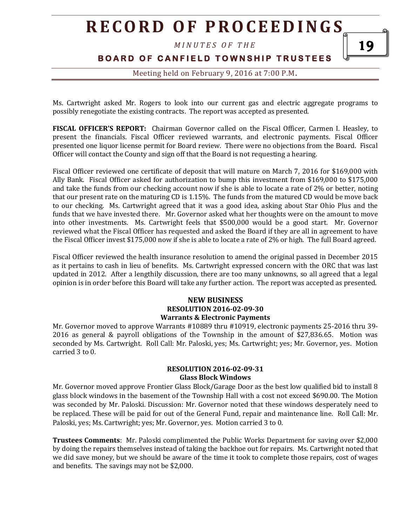*M I N U T E S O F T H E* 

### **BOARD OF CANFIELD TOWNSHIP TRUSTEES**

Meeting held on February 9, 2016 at 7:00 P.M**.**

Ms. Cartwright asked Mr. Rogers to look into our current gas and electric aggregate programs to possibly renegotiate the existing contracts. The report was accepted as presented.

**FISCAL OFFICER'S REPORT:** Chairman Governor called on the Fiscal Officer, Carmen I. Heasley, to present the financials. Fiscal Officer reviewed warrants, and electronic payments. Fiscal Officer presented one liquor license permit for Board review. There were no objections from the Board. Fiscal Officer will contact the County and sign off that the Board is not requesting a hearing.

Fiscal Officer reviewed one certificate of deposit that will mature on March 7, 2016 for \$169,000 with Ally Bank. Fiscal Officer asked for authorization to bump this investment from \$169,000 to \$175,000 and take the funds from our checking account now if she is able to locate a rate of 2% or better, noting that our present rate on the maturing CD is 1.15%. The funds from the matured CD would be move back to our checking. Ms. Cartwright agreed that it was a good idea, asking about Star Ohio Plus and the funds that we have invested there. Mr. Governor asked what her thoughts were on the amount to move into other investments. Ms. Cartwright feels that \$500,000 would be a good start. Mr. Governor reviewed what the Fiscal Officer has requested and asked the Board if they are all in agreement to have the Fiscal Officer invest \$175,000 now if she is able to locate a rate of 2% or high. The full Board agreed.

Fiscal Officer reviewed the health insurance resolution to amend the original passed in December 2015 as it pertains to cash in lieu of benefits. Ms. Cartwright expressed concern with the ORC that was last updated in 2012. After a lengthily discussion, there are too many unknowns, so all agreed that a legal opinion is in order before this Board will take any further action. The report was accepted as presented.

#### **NEW BUSINESS RESOLUTION 2016-02-09-30 Warrants & Electronic Payments**

Mr. Governor moved to approve Warrants #10889 thru #10919, electronic payments 25-2016 thru 39- 2016 as general & payroll obligations of the Township in the amount of \$27,836.65. Motion was seconded by Ms. Cartwright. Roll Call: Mr. Paloski, yes; Ms. Cartwright; yes; Mr. Governor, yes. Motion carried 3 to 0.

#### **RESOLUTION 2016-02-09-31 Glass Block Windows**

Mr. Governor moved approve Frontier Glass Block/Garage Door as the best low qualified bid to install 8 glass block windows in the basement of the Township Hall with a cost not exceed \$690.00. The Motion was seconded by Mr. Paloski. Discussion: Mr. Governor noted that these windows desperately need to be replaced. These will be paid for out of the General Fund, repair and maintenance line. Roll Call: Mr. Paloski, yes; Ms. Cartwright; yes; Mr. Governor, yes. Motion carried 3 to 0.

**Trustees Comments**: Mr. Paloski complimented the Public Works Department for saving over \$2,000 by doing the repairs themselves instead of taking the backhoe out for repairs. Ms. Cartwright noted that we did save money, but we should be aware of the time it took to complete those repairs, cost of wages and benefits. The savings may not be \$2,000.

19